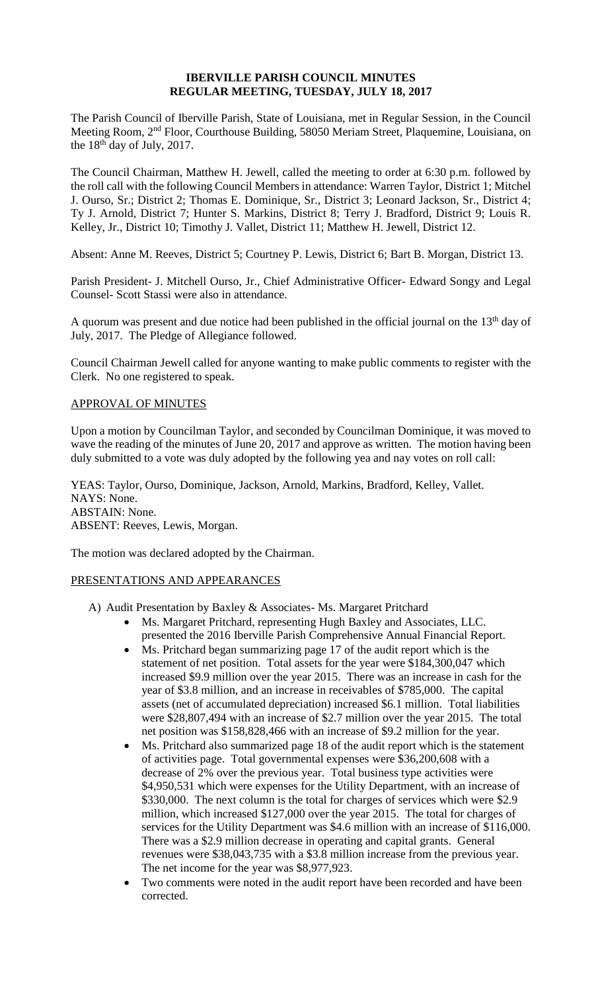## **IBERVILLE PARISH COUNCIL MINUTES REGULAR MEETING, TUESDAY, JULY 18, 2017**

The Parish Council of Iberville Parish, State of Louisiana, met in Regular Session, in the Council Meeting Room, 2nd Floor, Courthouse Building, 58050 Meriam Street, Plaquemine, Louisiana, on the  $18<sup>th</sup>$  day of July, 2017.

The Council Chairman, Matthew H. Jewell, called the meeting to order at 6:30 p.m. followed by the roll call with the following Council Members in attendance: Warren Taylor, District 1; Mitchel J. Ourso, Sr.; District 2; Thomas E. Dominique, Sr., District 3; Leonard Jackson, Sr., District 4; Ty J. Arnold, District 7; Hunter S. Markins, District 8; Terry J. Bradford, District 9; Louis R. Kelley, Jr., District 10; Timothy J. Vallet, District 11; Matthew H. Jewell, District 12.

Absent: Anne M. Reeves, District 5; Courtney P. Lewis, District 6; Bart B. Morgan, District 13.

Parish President- J. Mitchell Ourso, Jr., Chief Administrative Officer- Edward Songy and Legal Counsel- Scott Stassi were also in attendance.

A quorum was present and due notice had been published in the official journal on the 13<sup>th</sup> day of July, 2017. The Pledge of Allegiance followed.

Council Chairman Jewell called for anyone wanting to make public comments to register with the Clerk. No one registered to speak.

# APPROVAL OF MINUTES

Upon a motion by Councilman Taylor, and seconded by Councilman Dominique, it was moved to wave the reading of the minutes of June 20, 2017 and approve as written. The motion having been duly submitted to a vote was duly adopted by the following yea and nay votes on roll call:

YEAS: Taylor, Ourso, Dominique, Jackson, Arnold, Markins, Bradford, Kelley, Vallet. NAYS: None. ABSTAIN: None. ABSENT: Reeves, Lewis, Morgan.

The motion was declared adopted by the Chairman.

# PRESENTATIONS AND APPEARANCES

- A) Audit Presentation by Baxley & Associates- Ms. Margaret Pritchard
	- Ms. Margaret Pritchard, representing Hugh Baxley and Associates, LLC. presented the 2016 Iberville Parish Comprehensive Annual Financial Report.
	- Ms. Pritchard began summarizing page 17 of the audit report which is the statement of net position. Total assets for the year were \$184,300,047 which increased \$9.9 million over the year 2015. There was an increase in cash for the year of \$3.8 million, and an increase in receivables of \$785,000. The capital assets (net of accumulated depreciation) increased \$6.1 million. Total liabilities were \$28,807,494 with an increase of \$2.7 million over the year 2015. The total net position was \$158,828,466 with an increase of \$9.2 million for the year.
	- Ms. Pritchard also summarized page 18 of the audit report which is the statement of activities page. Total governmental expenses were \$36,200,608 with a decrease of 2% over the previous year. Total business type activities were \$4,950,531 which were expenses for the Utility Department, with an increase of \$330,000. The next column is the total for charges of services which were \$2.9 million, which increased \$127,000 over the year 2015. The total for charges of services for the Utility Department was \$4.6 million with an increase of \$116,000. There was a \$2.9 million decrease in operating and capital grants. General revenues were \$38,043,735 with a \$3.8 million increase from the previous year. The net income for the year was \$8,977,923.
	- Two comments were noted in the audit report have been recorded and have been corrected.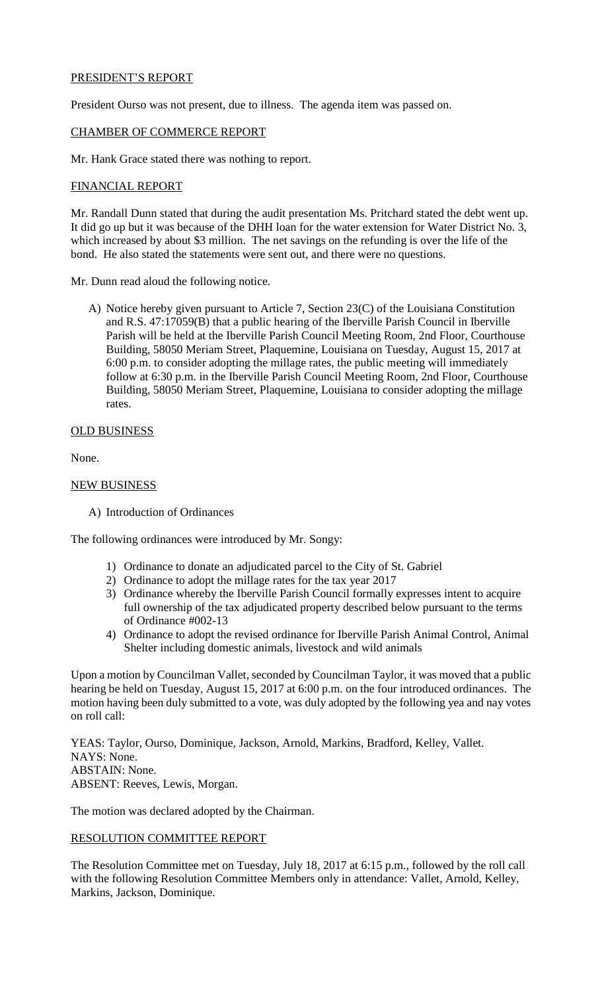# PRESIDENT'S REPORT

President Ourso was not present, due to illness. The agenda item was passed on.

#### CHAMBER OF COMMERCE REPORT

Mr. Hank Grace stated there was nothing to report.

# FINANCIAL REPORT

Mr. Randall Dunn stated that during the audit presentation Ms. Pritchard stated the debt went up. It did go up but it was because of the DHH loan for the water extension for Water District No. 3, which increased by about \$3 million. The net savings on the refunding is over the life of the bond. He also stated the statements were sent out, and there were no questions.

Mr. Dunn read aloud the following notice.

A) Notice hereby given pursuant to Article 7, Section 23(C) of the Louisiana Constitution and R.S. 47:17059(B) that a public hearing of the Iberville Parish Council in Iberville Parish will be held at the Iberville Parish Council Meeting Room, 2nd Floor, Courthouse Building, 58050 Meriam Street, Plaquemine, Louisiana on Tuesday, August 15, 2017 at 6:00 p.m. to consider adopting the millage rates, the public meeting will immediately follow at 6:30 p.m. in the Iberville Parish Council Meeting Room, 2nd Floor, Courthouse Building, 58050 Meriam Street, Plaquemine, Louisiana to consider adopting the millage rates.

# OLD BUSINESS

None.

# NEW BUSINESS

A) Introduction of Ordinances

The following ordinances were introduced by Mr. Songy:

- 1) Ordinance to donate an adjudicated parcel to the City of St. Gabriel
- 2) Ordinance to adopt the millage rates for the tax year 2017
- 3) Ordinance whereby the Iberville Parish Council formally expresses intent to acquire full ownership of the tax adjudicated property described below pursuant to the terms of Ordinance #002-13
- 4) Ordinance to adopt the revised ordinance for Iberville Parish Animal Control, Animal Shelter including domestic animals, livestock and wild animals

Upon a motion by Councilman Vallet, seconded by Councilman Taylor, it was moved that a public hearing be held on Tuesday, August 15, 2017 at 6:00 p.m. on the four introduced ordinances. The motion having been duly submitted to a vote, was duly adopted by the following yea and nay votes on roll call:

YEAS: Taylor, Ourso, Dominique, Jackson, Arnold, Markins, Bradford, Kelley, Vallet. NAYS: None. ABSTAIN: None. ABSENT: Reeves, Lewis, Morgan.

The motion was declared adopted by the Chairman.

# RESOLUTION COMMITTEE REPORT

The Resolution Committee met on Tuesday, July 18, 2017 at 6:15 p.m., followed by the roll call with the following Resolution Committee Members only in attendance: Vallet, Arnold, Kelley, Markins, Jackson, Dominique.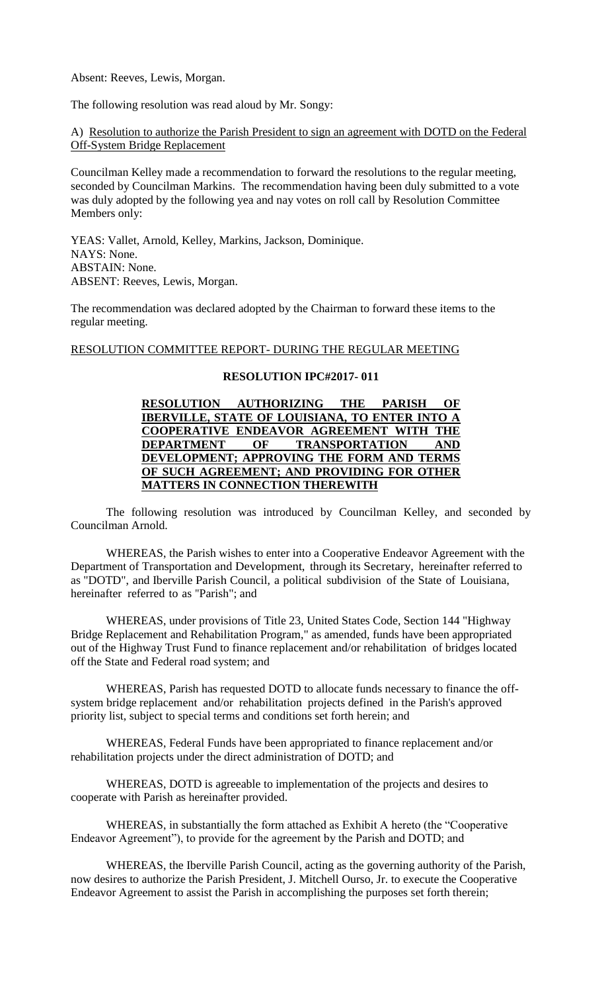Absent: Reeves, Lewis, Morgan.

The following resolution was read aloud by Mr. Songy:

## A) Resolution to authorize the Parish President to sign an agreement with DOTD on the Federal Off-System Bridge Replacement

Councilman Kelley made a recommendation to forward the resolutions to the regular meeting, seconded by Councilman Markins. The recommendation having been duly submitted to a vote was duly adopted by the following yea and nay votes on roll call by Resolution Committee Members only:

YEAS: Vallet, Arnold, Kelley, Markins, Jackson, Dominique. NAYS: None. ABSTAIN: None. ABSENT: Reeves, Lewis, Morgan.

The recommendation was declared adopted by the Chairman to forward these items to the regular meeting.

#### RESOLUTION COMMITTEE REPORT- DURING THE REGULAR MEETING

#### **RESOLUTION IPC#2017- 011**

# **RESOLUTION AUTHORIZING THE PARISH OF IBERVILLE, STATE OF LOUISIANA, TO ENTER INTO A COOPERATIVE ENDEAVOR AGREEMENT WITH THE DEPARTMENT OF TRANSPORTATION AND DEVELOPMENT; APPROVING THE FORM AND TERMS OF SUCH AGREEMENT; AND PROVIDING FOR OTHER MATTERS IN CONNECTION THEREWITH**

The following resolution was introduced by Councilman Kelley, and seconded by Councilman Arnold.

WHEREAS, the Parish wishes to enter into a Cooperative Endeavor Agreement with the Department of Transportation and Development, through its Secretary, hereinafter referred to as "DOTD", and Iberville Parish Council, a political subdivision of the State of Louisiana, hereinafter referred to as "Parish"; and

WHEREAS, under provisions of Title 23, United States Code, Section 144 "Highway Bridge Replacement and Rehabilitation Program," as amended, funds have been appropriated out of the Highway Trust Fund to finance replacement and/or rehabilitation of bridges located off the State and Federal road system; and

WHEREAS, Parish has requested DOTD to allocate funds necessary to finance the offsystem bridge replacement and/or rehabilitation projects defined in the Parish's approved priority list, subject to special terms and conditions set forth herein; and

WHEREAS, Federal Funds have been appropriated to finance replacement and/or rehabilitation projects under the direct administration of DOTD; and

WHEREAS, DOTD is agreeable to implementation of the projects and desires to cooperate with Parish as hereinafter provided.

WHEREAS, in substantially the form attached as Exhibit A hereto (the "Cooperative Endeavor Agreement"), to provide for the agreement by the Parish and DOTD; and

WHEREAS, the Iberville Parish Council, acting as the governing authority of the Parish, now desires to authorize the Parish President, J. Mitchell Ourso, Jr. to execute the Cooperative Endeavor Agreement to assist the Parish in accomplishing the purposes set forth therein;